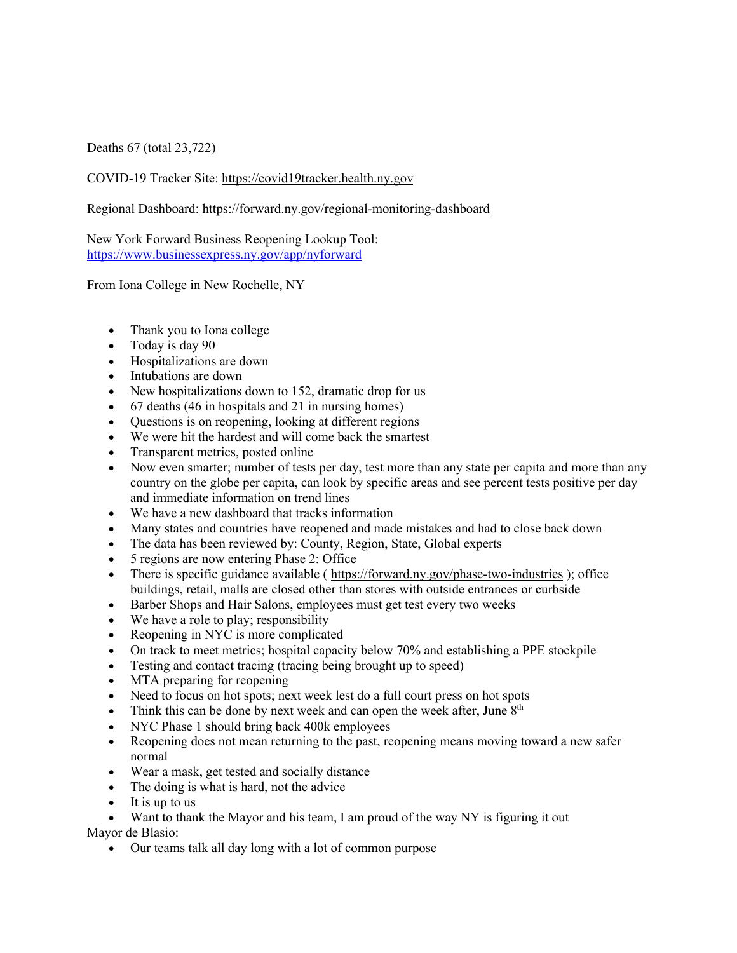Deaths 67 (total 23,722)

COVID-19 Tracker Site: https://covid19tracker.health.ny.gov

Regional Dashboard: https://forward.ny.gov/regional-monitoring-dashboard

New York Forward Business Reopening Lookup Tool: https://www.businessexpress.ny.gov/app/nyforward

From Iona College in New Rochelle, NY

- Thank you to Iona college
- Today is day 90
- Hospitalizations are down
- Intubations are down
- New hospitalizations down to 152, dramatic drop for us
- 67 deaths (46 in hospitals and 21 in nursing homes)
- Questions is on reopening, looking at different regions
- We were hit the hardest and will come back the smartest
- Transparent metrics, posted online
- Now even smarter; number of tests per day, test more than any state per capita and more than any country on the globe per capita, can look by specific areas and see percent tests positive per day and immediate information on trend lines
- We have a new dashboard that tracks information
- Many states and countries have reopened and made mistakes and had to close back down
- The data has been reviewed by: County, Region, State, Global experts
- 5 regions are now entering Phase 2: Office
- There is specific guidance available ( https://forward.ny.gov/phase-two-industries ); office buildings, retail, malls are closed other than stores with outside entrances or curbside
- Barber Shops and Hair Salons, employees must get test every two weeks
- We have a role to play; responsibility
- Reopening in NYC is more complicated
- On track to meet metrics; hospital capacity below 70% and establishing a PPE stockpile
- Testing and contact tracing (tracing being brought up to speed)
- MTA preparing for reopening
- Need to focus on hot spots; next week lest do a full court press on hot spots
- Think this can be done by next week and can open the week after, June  $8<sup>th</sup>$
- NYC Phase 1 should bring back 400k employees
- Reopening does not mean returning to the past, reopening means moving toward a new safer normal
- Wear a mask, get tested and socially distance
- The doing is what is hard, not the advice
- It is up to us
- Want to thank the Mayor and his team, I am proud of the way NY is figuring it out Mayor de Blasio:
	- Our teams talk all day long with a lot of common purpose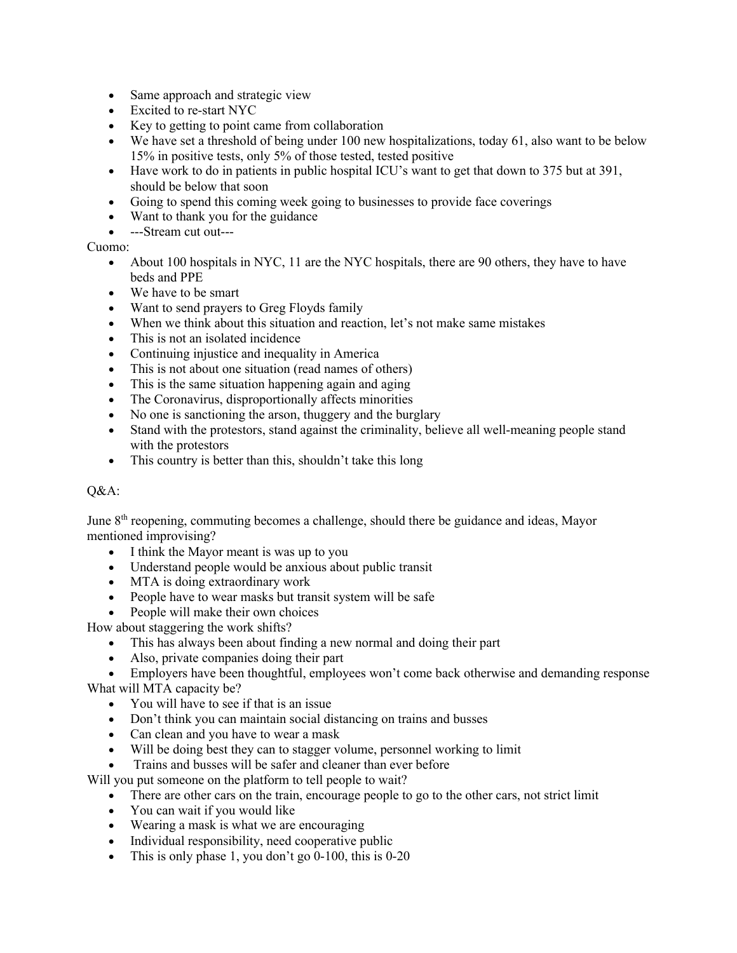- Same approach and strategic view
- Excited to re-start NYC
- Key to getting to point came from collaboration
- We have set a threshold of being under 100 new hospitalizations, today 61, also want to be below 15% in positive tests, only 5% of those tested, tested positive
- Have work to do in patients in public hospital ICU's want to get that down to 375 but at 391, should be below that soon
- Going to spend this coming week going to businesses to provide face coverings
- Want to thank you for the guidance
- ---Stream cut out---

## Cuomo:

- About 100 hospitals in NYC, 11 are the NYC hospitals, there are 90 others, they have to have beds and PPE
- We have to be smart
- Want to send prayers to Greg Floyds family
- When we think about this situation and reaction, let's not make same mistakes
- This is not an isolated incidence
- Continuing injustice and inequality in America
- This is not about one situation (read names of others)
- This is the same situation happening again and aging
- The Coronavirus, disproportionally affects minorities
- No one is sanctioning the arson, thuggery and the burglary
- Stand with the protestors, stand against the criminality, believe all well-meaning people stand with the protestors
- This country is better than this, shouldn't take this long

## Q&A:

June 8<sup>th</sup> reopening, commuting becomes a challenge, should there be guidance and ideas, Mayor mentioned improvising?

- I think the Mayor meant is was up to you
- Understand people would be anxious about public transit
- MTA is doing extraordinary work
- People have to wear masks but transit system will be safe
- People will make their own choices

How about staggering the work shifts?

- This has always been about finding a new normal and doing their part
- Also, private companies doing their part
- Employers have been thoughtful, employees won't come back otherwise and demanding response

What will MTA capacity be?

- You will have to see if that is an issue
- Don't think you can maintain social distancing on trains and busses
- Can clean and you have to wear a mask
- Will be doing best they can to stagger volume, personnel working to limit
- Trains and busses will be safer and cleaner than ever before

Will you put someone on the platform to tell people to wait?

- There are other cars on the train, encourage people to go to the other cars, not strict limit
- You can wait if you would like
- Wearing a mask is what we are encouraging
- Individual responsibility, need cooperative public
- This is only phase 1, you don't go  $0-100$ , this is  $0-20$